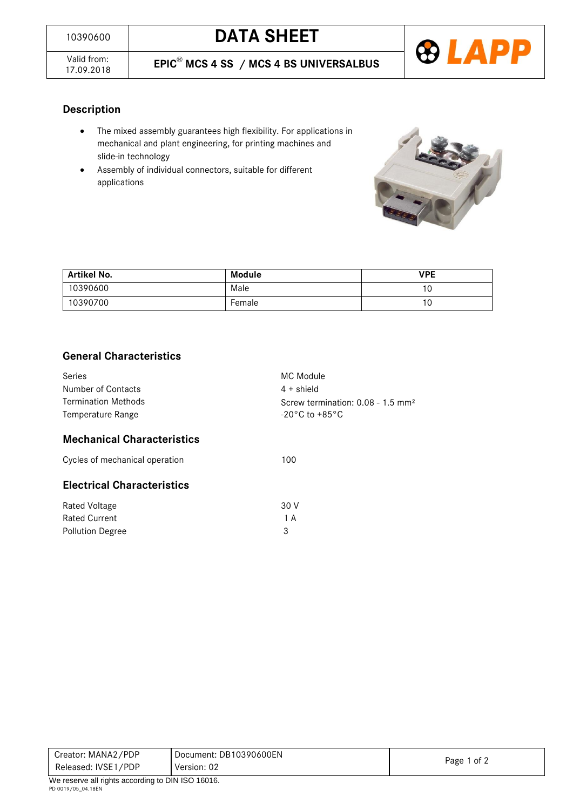



### **Description**

- The mixed assembly guarantees high flexibility. For applications in mechanical and plant engineering, for printing machines and slide-in technology
- Assembly of individual connectors, suitable for different applications



| Artikel No. | Module | <b>VPE</b> |
|-------------|--------|------------|
| 10390600    | Male   | ١U         |
| 10390700    | Female | ۱U         |

## **General Characteristics**

| Series<br>Number of Contacts<br><b>Termination Methods</b><br>Temperature Range | MC Module<br>$4 +$ shield<br>Screw termination: $0.08 - 1.5$ mm <sup>2</sup><br>$-20\degree$ C to $+85\degree$ C |  |  |  |
|---------------------------------------------------------------------------------|------------------------------------------------------------------------------------------------------------------|--|--|--|
| <b>Mechanical Characteristics</b>                                               |                                                                                                                  |  |  |  |
| Cycles of mechanical operation                                                  | 100                                                                                                              |  |  |  |
| <b>Electrical Characteristics</b>                                               |                                                                                                                  |  |  |  |
| Rated Voltage                                                                   | 30 V                                                                                                             |  |  |  |
| <b>Rated Current</b>                                                            | 1 A                                                                                                              |  |  |  |
| <b>Pollution Degree</b>                                                         | 3                                                                                                                |  |  |  |

| Creator: MANA2/PDP                                       | Document: DB10390600EN |             |
|----------------------------------------------------------|------------------------|-------------|
| Released: IVSE1/PDP                                      | Version: 02            | Page 1 of 2 |
| $M_{\odot}$ resems all rights considing to DIN ICO 16016 |                        |             |